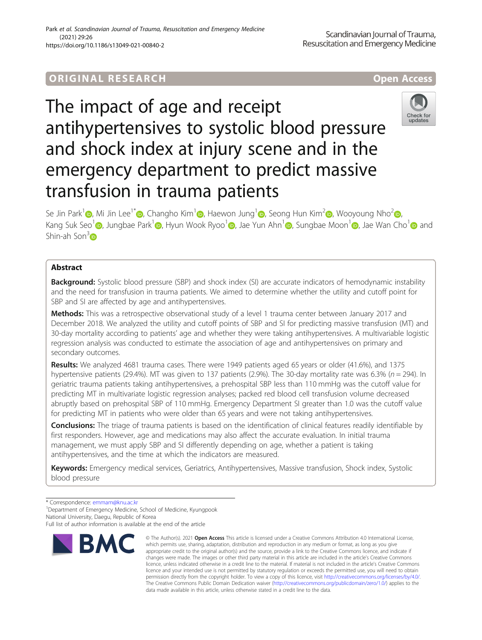# ORIGINA L R E S EA RCH Open Access



The impact of age and receipt antihypertensives to systolic blood pressure and shock index at injury scene and in the emergency department to predict massive transfusion in trauma patients



Se Jin Park<sup>[1](https://orcid.org/0000-0003-3430-6449)</sup> , Mi Jin Lee<sup>1[\\*](http://orcid.org/0000-0002-3773-8047)</sup> [,](https://orcid.org/0000-0002-5956-9854) Changho Kim<sup>1</sup> , Haewon Jung<sup>1</sup> , Seong Hun Kim<sup>[2](https://orcid.org/0000-0001-7547-6474)</sup> , Wooyoung Nho<sup>2</sup> , Kang Suk Seo<sup>[1](https://orcid.org/0000-0002-5342-155X)</sup> [,](https://orcid.org/0000-0002-1361-9887) Jungbae Park<sup>1</sup> , Hyun Wook Ryoo<sup>1</sup> , Jae Yun Ahn<sup>1</sup> , Sungbae Moon<sup>1</sup> , Jae Wan Cho<sup>1</sup> and Shin-ah Son $3\text{m}$ 

# Abstract

Background: Systolic blood pressure (SBP) and shock index (SI) are accurate indicators of hemodynamic instability and the need for transfusion in trauma patients. We aimed to determine whether the utility and cutoff point for SBP and SI are affected by age and antihypertensives.

Methods: This was a retrospective observational study of a level 1 trauma center between January 2017 and December 2018. We analyzed the utility and cutoff points of SBP and SI for predicting massive transfusion (MT) and 30-day mortality according to patients' age and whether they were taking antihypertensives. A multivariable logistic regression analysis was conducted to estimate the association of age and antihypertensives on primary and secondary outcomes.

Results: We analyzed 4681 trauma cases. There were 1949 patients aged 65 years or older (41.6%), and 1375 hypertensive patients (29.4%). MT was given to 137 patients (2.9%). The 30-day mortality rate was 6.3% ( $n = 294$ ). In geriatric trauma patients taking antihypertensives, a prehospital SBP less than 110 mmHg was the cutoff value for predicting MT in multivariate logistic regression analyses; packed red blood cell transfusion volume decreased abruptly based on prehospital SBP of 110 mmHg. Emergency Department SI greater than 1.0 was the cutoff value for predicting MT in patients who were older than 65 years and were not taking antihypertensives.

**Conclusions:** The triage of trauma patients is based on the identification of clinical features readily identifiable by first responders. However, age and medications may also affect the accurate evaluation. In initial trauma management, we must apply SBP and SI differently depending on age, whether a patient is taking antihypertensives, and the time at which the indicators are measured.

Keywords: Emergency medical services, Geriatrics, Antihypertensives, Massive transfusion, Shock index, Systolic blood pressure

<sup>1</sup> Department of Emergency Medicine, School of Medicine, Kyungpook National University, Daegu, Republic of Korea

Full list of author information is available at the end of the article



<sup>©</sup> The Author(s), 2021 **Open Access** This article is licensed under a Creative Commons Attribution 4.0 International License, which permits use, sharing, adaptation, distribution and reproduction in any medium or format, as long as you give appropriate credit to the original author(s) and the source, provide a link to the Creative Commons licence, and indicate if changes were made. The images or other third party material in this article are included in the article's Creative Commons licence, unless indicated otherwise in a credit line to the material. If material is not included in the article's Creative Commons licence and your intended use is not permitted by statutory regulation or exceeds the permitted use, you will need to obtain permission directly from the copyright holder. To view a copy of this licence, visit [http://creativecommons.org/licenses/by/4.0/.](http://creativecommons.org/licenses/by/4.0/) The Creative Commons Public Domain Dedication waiver [\(http://creativecommons.org/publicdomain/zero/1.0/](http://creativecommons.org/publicdomain/zero/1.0/)) applies to the data made available in this article, unless otherwise stated in a credit line to the data.

<sup>\*</sup> Correspondence: [emmam@knu.ac.kr](mailto:emmam@knu.ac.kr) <sup>1</sup>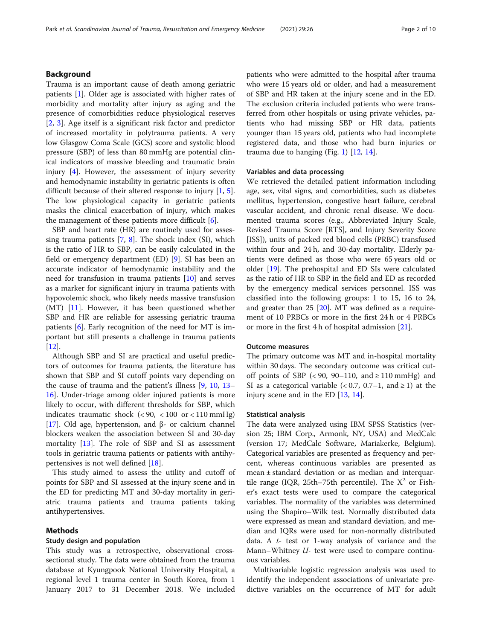### Background

Trauma is an important cause of death among geriatric patients [[1\]](#page-8-0). Older age is associated with higher rates of morbidity and mortality after injury as aging and the presence of comorbidities reduce physiological reserves [[2,](#page-8-0) [3](#page-8-0)]. Age itself is a significant risk factor and predictor of increased mortality in polytrauma patients. A very low Glasgow Coma Scale (GCS) score and systolic blood pressure (SBP) of less than 80 mmHg are potential clinical indicators of massive bleeding and traumatic brain injury [[4\]](#page-8-0). However, the assessment of injury severity and hemodynamic instability in geriatric patients is often difficult because of their altered response to injury [\[1](#page-8-0), [5](#page-8-0)]. The low physiological capacity in geriatric patients masks the clinical exacerbation of injury, which makes the management of these patients more difficult [[6\]](#page-8-0).

SBP and heart rate (HR) are routinely used for assessing trauma patients  $[7, 8]$  $[7, 8]$  $[7, 8]$ . The shock index (SI), which is the ratio of HR to SBP, can be easily calculated in the field or emergency department (ED) [[9\]](#page-8-0). SI has been an accurate indicator of hemodynamic instability and the need for transfusion in trauma patients [[10\]](#page-8-0) and serves as a marker for significant injury in trauma patients with hypovolemic shock, who likely needs massive transfusion (MT) [\[11](#page-8-0)]. However, it has been questioned whether SBP and HR are reliable for assessing geriatric trauma patients [\[6](#page-8-0)]. Early recognition of the need for MT is important but still presents a challenge in trauma patients [[12\]](#page-8-0).

Although SBP and SI are practical and useful predictors of outcomes for trauma patients, the literature has shown that SBP and SI cutoff points vary depending on the cause of trauma and the patient's illness [\[9](#page-8-0), [10](#page-8-0), [13](#page-8-0)– [16\]](#page-9-0). Under-triage among older injured patients is more likely to occur, with different thresholds for SBP, which indicates traumatic shock (< 90, < 100 or < 110 mmHg) [[17\]](#page-9-0). Old age, hypertension, and β- or calcium channel blockers weaken the association between SI and 30-day mortality [\[13\]](#page-8-0). The role of SBP and SI as assessment tools in geriatric trauma patients or patients with antihypertensives is not well defined [\[18](#page-9-0)].

This study aimed to assess the utility and cutoff of points for SBP and SI assessed at the injury scene and in the ED for predicting MT and 30-day mortality in geriatric trauma patients and trauma patients taking antihypertensives.

### Methods

### Study design and population

This study was a retrospective, observational crosssectional study. The data were obtained from the trauma database at Kyungpook National University Hospital, a regional level 1 trauma center in South Korea, from 1 January 2017 to 31 December 2018. We included patients who were admitted to the hospital after trauma who were 15 years old or older, and had a measurement of SBP and HR taken at the injury scene and in the ED. The exclusion criteria included patients who were transferred from other hospitals or using private vehicles, patients who had missing SBP or HR data, patients younger than 15 years old, patients who had incomplete registered data, and those who had burn injuries or trauma due to hanging (Fig. [1\)](#page-2-0)  $[12, 14]$  $[12, 14]$  $[12, 14]$ .

### Variables and data processing

We retrieved the detailed patient information including age, sex, vital signs, and comorbidities, such as diabetes mellitus, hypertension, congestive heart failure, cerebral vascular accident, and chronic renal disease. We documented trauma scores (e.g., Abbreviated Injury Scale, Revised Trauma Score [RTS], and Injury Severity Score [ISS]), units of packed red blood cells (PRBC) transfused within four and 24 h, and 30-day mortality. Elderly patients were defined as those who were 65 years old or older [[19\]](#page-9-0). The prehospital and ED SIs were calculated as the ratio of HR to SBP in the field and ED as recorded by the emergency medical services personnel. ISS was classified into the following groups: 1 to 15, 16 to 24, and greater than 25 [[20](#page-9-0)]. MT was defined as a requirement of 10 PRBCs or more in the first 24 h or 4 PRBCs or more in the first 4 h of hospital admission [[21\]](#page-9-0).

### Outcome measures

The primary outcome was MT and in-hospital mortality within 30 days. The secondary outcome was critical cutoff points of SBP (<90, 90–110, and  $\geq$  110 mmHg) and SI as a categorical variable  $( $0.7, 0.7-1, \text{ and } \geq 1$ ) at the$ injury scene and in the ED [\[13](#page-8-0), [14](#page-8-0)].

#### Statistical analysis

The data were analyzed using IBM SPSS Statistics (version 25; IBM Corp., Armonk, NY, USA) and MedCalc (version 17; MedCalc Software, Mariakerke, Belgium). Categorical variables are presented as frequency and percent, whereas continuous variables are presented as mean ± standard deviation or as median and interquartile range (IQR, 25th–75th percentile). The  $X^2$  or Fisher's exact tests were used to compare the categorical variables. The normality of the variables was determined using the Shapiro–Wilk test. Normally distributed data were expressed as mean and standard deviation, and median and IQRs were used for non-normally distributed data. A  $t$ - test or 1-way analysis of variance and the Mann–Whitney  $U$ - test were used to compare continuous variables.

Multivariable logistic regression analysis was used to identify the independent associations of univariate predictive variables on the occurrence of MT for adult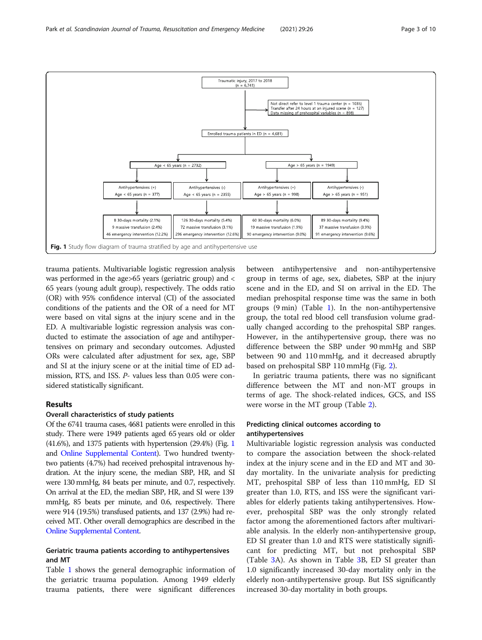<span id="page-2-0"></span>

trauma patients. Multivariable logistic regression analysis was performed in the age>65 years (geriatric group) and < 65 years (young adult group), respectively. The odds ratio (OR) with 95% confidence interval (CI) of the associated conditions of the patients and the OR of a need for MT were based on vital signs at the injury scene and in the ED. A multivariable logistic regression analysis was conducted to estimate the association of age and antihypertensives on primary and secondary outcomes. Adjusted ORs were calculated after adjustment for sex, age, SBP and SI at the injury scene or at the initial time of ED admission, RTS, and ISS. P- values less than 0.05 were considered statistically significant.

# Results

### Overall characteristics of study patients

Of the 6741 trauma cases, 4681 patients were enrolled in this study. There were 1949 patients aged 65 years old or older (41.6%), and 1375 patients with hypertension (29.4%) (Fig. 1 and [Online Supplemental Content\)](#page-8-0). Two hundred twentytwo patients (4.7%) had received prehospital intravenous hydration. At the injury scene, the median SBP, HR, and SI were 130 mmHg, 84 beats per minute, and 0.7, respectively. On arrival at the ED, the median SBP, HR, and SI were 139 mmHg, 85 beats per minute, and 0.6, respectively. There were 914 (19.5%) transfused patients, and 137 (2.9%) had received MT. Other overall demographics are described in the [Online Supplemental Content.](#page-8-0)

## Geriatric trauma patients according to antihypertensives and MT

Table [1](#page-3-0) shows the general demographic information of the geriatric trauma population. Among 1949 elderly trauma patients, there were significant differences

between antihypertensive and non-antihypertensive group in terms of age, sex, diabetes, SBP at the injury scene and in the ED, and SI on arrival in the ED. The median prehospital response time was the same in both groups (9 min) (Table [1](#page-3-0)). In the non-antihypertensive group, the total red blood cell transfusion volume gradually changed according to the prehospital SBP ranges. However, in the antihypertensive group, there was no difference between the SBP under 90 mmHg and SBP between 90 and 110 mmHg, and it decreased abruptly based on prehospital SBP 110 mmHg (Fig. [2](#page-4-0)).

In geriatric trauma patients, there was no significant difference between the MT and non-MT groups in terms of age. The shock-related indices, GCS, and ISS were worse in the MT group (Table [2](#page-5-0)).

# Predicting clinical outcomes according to antihypertensives

Multivariable logistic regression analysis was conducted to compare the association between the shock-related index at the injury scene and in the ED and MT and 30 day mortality. In the univariate analysis for predicting MT, prehospital SBP of less than 110 mmHg, ED SI greater than 1.0, RTS, and ISS were the significant variables for elderly patients taking antihypertensives. However, prehospital SBP was the only strongly related factor among the aforementioned factors after multivariable analysis. In the elderly non-antihypertensive group, ED SI greater than 1.0 and RTS were statistically significant for predicting MT, but not prehospital SBP (Table [3A](#page-6-0)). As shown in Table [3](#page-6-0)B, ED SI greater than 1.0 significantly increased 30-day mortality only in the elderly non-antihypertensive group. But ISS significantly increased 30-day mortality in both groups.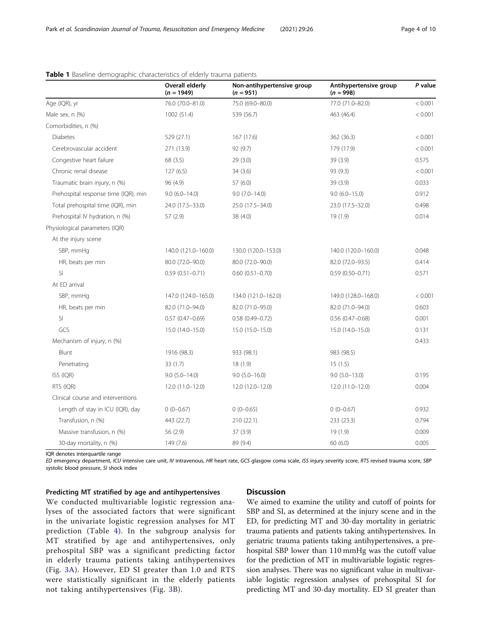|                                      | <b>Overall elderly</b><br>$(n = 1949)$ | Non-antihypertensive group<br>$(n = 951)$ | Antihypertensive group<br>$(n = 998)$ | P value |
|--------------------------------------|----------------------------------------|-------------------------------------------|---------------------------------------|---------|
| Age (IQR), yr                        | 76.0 (70.0-81.0)                       | 75.0 (69.0-80.0)                          | 77.0 (71.0-82.0)                      | < 0.001 |
| Male sex, n (%)                      | 1002 (51.4)                            | 539 (56.7)                                | 463 (46.4)                            | < 0.001 |
| Comorbidities, n (%)                 |                                        |                                           |                                       |         |
| <b>Diabetes</b>                      | 529 (27.1)                             | 167 (17.6)                                | 362 (36.3)                            | < 0.001 |
| Cerebrovascular accident             | 271 (13.9)                             | 92(9.7)                                   | 179 (17.9)                            | < 0.001 |
| Congestive heart failure             | 68 (3.5)                               | 29(3.0)                                   | 39 (3.9)                              | 0.575   |
| Chronic renal disease                | 127(6.5)                               | 34(3.6)                                   | 93 (9.3)                              | < 0.001 |
| Traumatic brain injury, n (%)        | 96 (4.9)                               | 57(6.0)                                   | 39 (3.9)                              | 0.033   |
| Prehospital response time (IQR), min | $9.0(6.0-14.0)$                        | $9.0(7.0-14.0)$                           | $9.0$ (6.0-15.0)                      | 0.912   |
| Total prehospital time (IQR), min    | 24.0 (17.5 - 33.0)                     | 25.0 (17.5 - 34.0)                        | 23.0 (17.5 - 32.0)                    | 0.498   |
| Prehospital IV hydration, n (%)      | 57 (2.9)                               | 38 (4.0)                                  | 19(1.9)                               | 0.014   |
| Physiological parameters (IQR)       |                                        |                                           |                                       |         |
| At the injury scene                  |                                        |                                           |                                       |         |
| SBP, mmHq                            | 140.0 (121.0-160.0)                    | 130.0 (120.0-153.0)                       | 140.0 (120.0-160.0)                   | 0.048   |
| HR, beats per min                    | 80.0 (72.0-90.0)                       | 80.0 (72.0-90.0)                          | 82.0 (72.0-93.5)                      | 0.414   |
| SI                                   | $0.59(0.51 - 0.71)$                    | $0.60$ $(0.51 - 0.70)$                    | $0.59(0.50 - 0.71)$                   | 0.571   |
| At ED arrival                        |                                        |                                           |                                       |         |
| SBP, mmHg                            | 147.0 (124.0-165.0)                    | 134.0 (121.0-162.0)                       | 149.0 (128.0-168.0)                   | < 0.001 |
| HR, beats per min                    | 82.0 (71.0-94.0)                       | 82.0 (71.0-95.0)                          | 82.0 (71.0-94.0)                      | 0.603   |
| SI                                   | $0.57(0.47 - 0.69)$                    | $0.58$ $(0.49 - 0.72)$                    | $0.56$ $(0.47 - 0.68)$                | 0.001   |
| GCS                                  | 15.0 (14.0-15.0)                       | 15.0 (15.0-15.0)                          | 15.0 (14.0-15.0)                      | 0.131   |
| Mechanism of injury, n (%)           |                                        |                                           |                                       | 0.433   |
| Blunt                                | 1916 (98.3)                            | 933 (98.1)                                | 983 (98.5)                            |         |
| Penetrating                          | 33(1.7)                                | 18 (1.9)                                  | 15(1.5)                               |         |
| ISS (IQR)                            | $9.0(5.0 - 14.0)$                      | $9.0(5.0-16.0)$                           | $9.0(5.0-13.0)$                       | 0.195   |
| RTS (IQR)                            | 12.0 (11.0-12.0)                       | 12.0 (12.0-12.0)                          | 12.0 (11.0-12.0)                      | 0.004   |
| Clinical course and interventions    |                                        |                                           |                                       |         |
| Length of stay in ICU (IQR), day     | $0(0-0.67)$                            | $0(0-0.65)$                               | $0(0-0.67)$                           | 0.932   |
| Transfusion, n (%)                   | 443 (22.7)                             | 210(22.1)                                 | 233 (23.3)                            | 0.794   |
| Massive transfusion, n (%)           | 56 (2.9)                               | 37(3.9)                                   | 19 (1.9)                              | 0.009   |
| 30-day mortality, n (%)              | 149 (7.6)                              | 89 (9.4)                                  | 60(6.0)                               | 0.005   |

# <span id="page-3-0"></span>Table 1 Baseline demographic characteristics of elderly trauma patients

IQR denotes interquartile range

ED emergency department, ICU intensive care unit, IV intravenous, HR heart rate, GCS glasgow coma scale, ISS injury severity score, RTS revised trauma score, SBP systolic blood pressure, SI shock index

### Predicting MT stratified by age and antihypertensives

# We conducted multivariable logistic regression analyses of the associated factors that were significant in the univariate logistic regression analyses for MT prediction (Table [4](#page-7-0)). In the subgroup analysis for MT stratified by age and antihypertensives, only prehospital SBP was a significant predicting factor in elderly trauma patients taking antihypertensives (Fig. [3](#page-7-0)A). However, ED SI greater than 1.0 and RTS were statistically significant in the elderly patients not taking antihypertensives (Fig. [3B](#page-7-0)).

### **Discussion**

We aimed to examine the utility and cutoff of points for SBP and SI, as determined at the injury scene and in the ED, for predicting MT and 30-day mortality in geriatric trauma patients and patients taking antihypertensives. In geriatric trauma patients taking antihypertensives, a prehospital SBP lower than 110 mmHg was the cutoff value for the prediction of MT in multivariable logistic regression analyses. There was no significant value in multivariable logistic regression analyses of prehospital SI for predicting MT and 30-day mortality. ED SI greater than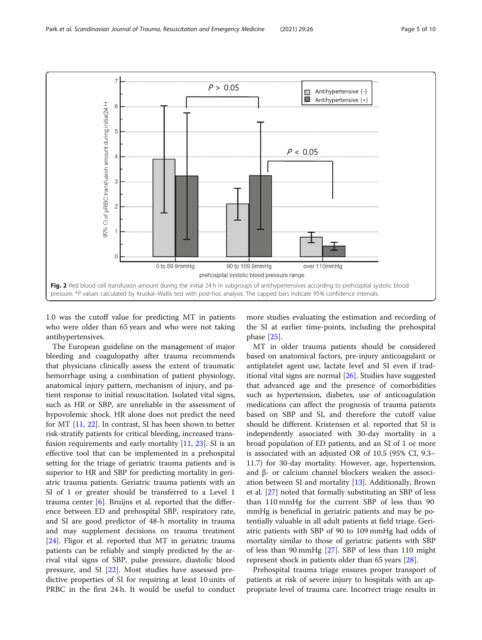<span id="page-4-0"></span>

1.0 was the cutoff value for predicting MT in patients who were older than 65 years and who were not taking antihypertensives.

The European guideline on the management of major bleeding and coagulopathy after trauma recommends that physicians clinically assess the extent of traumatic hemorrhage using a combination of patient physiology, anatomical injury pattern, mechanism of injury, and patient response to initial resuscitation. Isolated vital signs, such as HR or SBP, are unreliable in the assessment of hypovolemic shock. HR alone does not predict the need for MT [\[11,](#page-8-0) [22\]](#page-9-0). In contrast, SI has been shown to better risk-stratify patients for critical bleeding, increased transfusion requirements and early mortality [\[11](#page-8-0), [23](#page-9-0)]. SI is an effective tool that can be implemented in a prehospital setting for the triage of geriatric trauma patients and is superior to HR and SBP for predicting mortality in geriatric trauma patients. Geriatric trauma patients with an SI of 1 or greater should be transferred to a Level 1 trauma center [\[6](#page-8-0)]. Bruijns et al. reported that the difference between ED and prehospital SBP, respiratory rate, and SI are good predictor of 48-h mortality in trauma and may supplement decisions on trauma treatment [[24\]](#page-9-0). Fligor et al. reported that MT in geriatric trauma patients can be reliably and simply predicted by the arrival vital signs of SBP, pulse pressure, diastolic blood pressure, and SI [[22](#page-9-0)]. Most studies have assessed predictive properties of SI for requiring at least 10 units of PRBC in the first 24 h. It would be useful to conduct

more studies evaluating the estimation and recording of the SI at earlier time-points, including the prehospital phase [[25\]](#page-9-0).

MT in older trauma patients should be considered based on anatomical factors, pre-injury anticoagulant or antiplatelet agent use, lactate level and SI even if traditional vital signs are normal [\[26](#page-9-0)]. Studies have suggested that advanced age and the presence of comorbidities such as hypertension, diabetes, use of anticoagulation medications can affect the prognosis of trauma patients based on SBP and SI, and therefore the cutoff value should be different. Kristensen et al. reported that SI is independently associated with 30-day mortality in a broad population of ED patients, and an SI of 1 or more is associated with an adjusted OR of 10.5 (95% CI, 9.3– 11.7) for 30-day mortality. However, age, hypertension, and β- or calcium channel blockers weaken the association between SI and mortality [\[13\]](#page-8-0). Additionally, Brown et al. [[27\]](#page-9-0) noted that formally substituting an SBP of less than 110 mmHg for the current SBP of less than 90 mmHg is beneficial in geriatric patients and may be potentially valuable in all adult patients at field triage. Geriatric patients with SBP of 90 to 109 mmHg had odds of mortality similar to those of geriatric patients with SBP of less than 90 mmHg [[27](#page-9-0)]. SBP of less than 110 might represent shock in patients older than 65 years [[28\]](#page-9-0).

Prehospital trauma triage ensures proper transport of patients at risk of severe injury to hospitals with an appropriate level of trauma care. Incorrect triage results in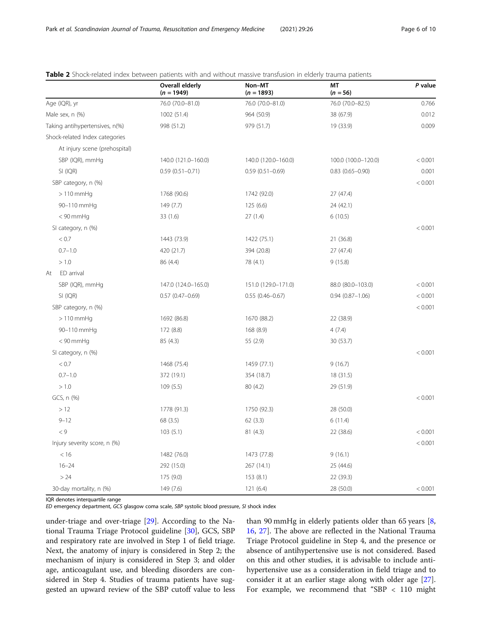|                                | <b>Overall elderly</b><br>$(n = 1949)$ | Non-MT<br>$(n = 1893)$ | MT<br>$(n = 56)$       | P value |
|--------------------------------|----------------------------------------|------------------------|------------------------|---------|
| Age (IQR), yr                  | 76.0 (70.0-81.0)                       | 76.0 (70.0-81.0)       | 76.0 (70.0-82.5)       | 0.766   |
| Male sex, n (%)                | 1002 (51.4)                            | 964 (50.9)             | 38 (67.9)              | 0.012   |
| Taking antihypertensives, n(%) | 998 (51.2)                             | 979 (51.7)             | 19 (33.9)              | 0.009   |
| Shock-related Index categories |                                        |                        |                        |         |
| At injury scene (prehospital)  |                                        |                        |                        |         |
| SBP (IQR), mmHg                | 140.0 (121.0-160.0)                    | 140.0 (120.0-160.0)    | 100.0 (100.0-120.0)    | < 0.001 |
| SI (IQR)                       | $0.59(0.51 - 0.71)$                    | $0.59(0.51 - 0.69)$    | $0.83$ $(0.65 - 0.90)$ | 0.001   |
| SBP category, n (%)            |                                        |                        |                        | < 0.001 |
| $>110$ mmHg                    | 1768 (90.6)                            | 1742 (92.0)            | 27 (47.4)              |         |
| 90-110 mmHq                    | 149 (7.7)                              | 125(6.6)               | 24 (42.1)              |         |
| $< 90$ mmHq                    | 33(1.6)                                | 27(1.4)                | 6(10.5)                |         |
| SI category, n (%)             |                                        |                        |                        | < 0.001 |
| < 0.7                          | 1443 (73.9)                            | 1422 (75.1)            | 21 (36.8)              |         |
| $0.7 - 1.0$                    | 420 (21.7)                             | 394 (20.8)             | 27(47.4)               |         |
| > 1.0                          | 86 (4.4)                               | 78 (4.1)               | 9(15.8)                |         |
| ED arrival<br>At               |                                        |                        |                        |         |
| SBP (IQR), mmHg                | 147.0 (124.0-165.0)                    | 151.0 (129.0-171.0)    | 88.0 (80.0-103.0)      | < 0.001 |
| SI (IQR)                       | $0.57(0.47 - 0.69)$                    | $0.55(0.46 - 0.67)$    | $0.94(0.87 - 1.06)$    | < 0.001 |
| SBP category, n (%)            |                                        |                        |                        | < 0.001 |
| $>110$ mmHg                    | 1692 (86.8)                            | 1670 (88.2)            | 22 (38.9)              |         |
| 90-110 mmHq                    | 172 (8.8)                              | 168 (8.9)              | 4(7.4)                 |         |
| $< 90$ mmHq                    | 85(4.3)                                | 55 (2.9)               | 30 (53.7)              |         |
| SI category, n (%)             |                                        |                        |                        | < 0.001 |
| < 0.7                          | 1468 (75.4)                            | 1459 (77.1)            | 9(16.7)                |         |
| $0.7 - 1.0$                    | 372 (19.1)                             | 354 (18.7)             | 18 (31.5)              |         |
| > 1.0                          | 109(5.5)                               | 80 (4.2)               | 29 (51.9)              |         |
| GCS, n (%)                     |                                        |                        |                        | < 0.001 |
| >12                            | 1778 (91.3)                            | 1750 (92.3)            | 28 (50.0)              |         |
| $9 - 12$                       | 68 (3.5)                               | 62(3.3)                | 6(11.4)                |         |
| < 9                            | 103(5.1)                               | 81(4.3)                | 22 (38.6)              | < 0.001 |
| Injury severity score, n (%)   |                                        |                        |                        | < 0.001 |
| < 16                           | 1482 (76.0)                            | 1473 (77.8)            | 9(16.1)                |         |
| $16 - 24$                      | 292 (15.0)                             | 267 (14.1)             | 25 (44.6)              |         |
| > 24                           | 175 (9.0)                              | 153(8.1)               | 22 (39.3)              |         |
| 30-day mortality, n (%)        | 149 (7.6)                              | 121(6.4)               | 28 (50.0)              | < 0.001 |

<span id="page-5-0"></span>Table 2 Shock-related index between patients with and without massive transfusion in elderly trauma patients

IQR denotes interquartile range

ED emergency department, GCS glasgow coma scale, SBP systolic blood pressure, SI shock index

under-triage and over-triage [\[29\]](#page-9-0). According to the National Trauma Triage Protocol guideline [\[30\]](#page-9-0), GCS, SBP and respiratory rate are involved in Step 1 of field triage. Next, the anatomy of injury is considered in Step 2; the mechanism of injury is considered in Step 3; and older age, anticoagulant use, and bleeding disorders are considered in Step 4. Studies of trauma patients have suggested an upward review of the SBP cutoff value to less

than 90 mmHg in elderly patients older than 65 years [\[8](#page-8-0), [16,](#page-9-0) [27\]](#page-9-0). The above are reflected in the National Trauma Triage Protocol guideline in Step 4, and the presence or absence of antihypertensive use is not considered. Based on this and other studies, it is advisable to include antihypertensive use as a consideration in field triage and to consider it at an earlier stage along with older age [\[27](#page-9-0)]. For example, we recommend that "SBP < 110 might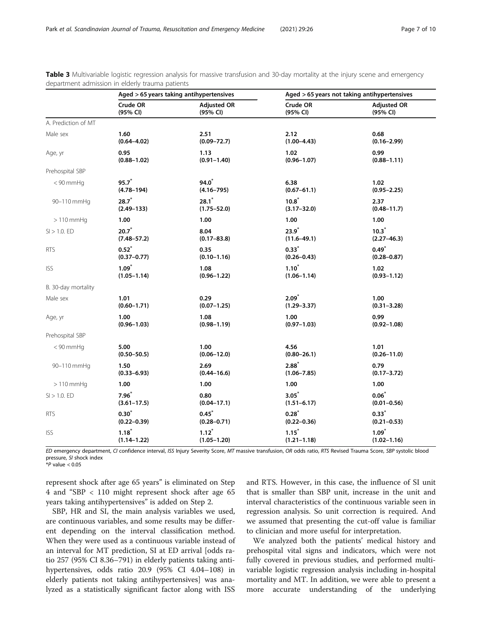|                     | Aged > 65 years taking antihypertensives |                    | Aged > 65 years not taking antihypertensives |                    |  |  |
|---------------------|------------------------------------------|--------------------|----------------------------------------------|--------------------|--|--|
|                     | Crude OR                                 | <b>Adjusted OR</b> | Crude OR                                     | <b>Adjusted OR</b> |  |  |
|                     | (95% CI)                                 | (95% CI)           | (95% CI)                                     | (95% CI)           |  |  |
| A. Prediction of MT |                                          |                    |                                              |                    |  |  |
| Male sex            | 1.60                                     | 2.51               | 2.12                                         | 0.68               |  |  |
|                     | $(0.64 - 4.02)$                          | $(0.09 - 72.7)$    | $(1.00 - 4.43)$                              | $(0.16 - 2.99)$    |  |  |
| Age, yr             | 0.95                                     | 1.13               | 1.02                                         | 0.99               |  |  |
|                     | $(0.88 - 1.02)$                          | $(0.91 - 1.40)$    | $(0.96 - 1.07)$                              | $(0.88 - 1.11)$    |  |  |
| Prehospital SBP     |                                          |                    |                                              |                    |  |  |
| $< 90$ mmHq         | $95.7^*$                                 | 94.0 <sup>*</sup>  | 6.38                                         | 1.02               |  |  |
|                     | $(4.78 - 194)$                           | $(4.16 - 795)$     | $(0.67 - 61.1)$                              | $(0.95 - 2.25)$    |  |  |
| 90-110 mmHg         | $28.7^*$                                 | $28.1^*$           | $10.8^*$                                     | 2.37               |  |  |
|                     | $(2.49 - 133)$                           | $(1.75 - 52.0)$    | $(3.17 - 32.0)$                              | $(0.48 - 11.7)$    |  |  |
| $>110$ mmHg         | 1.00                                     | 1.00               | 1.00                                         | 1.00               |  |  |
| $SI > 1.0$ . ED     | $20.7^*$                                 | 8.04               | $23.9^*$                                     | $10.3^*$           |  |  |
|                     | $(7.48 - 57.2)$                          | $(0.17 - 83.8)$    | $(11.6 - 49.1)$                              | $(2.27 - 46.3)$    |  |  |
| <b>RTS</b>          | $0.52^{*}$                               | 0.35               | $0.33^{*}$                                   | $0.49^{*}$         |  |  |
|                     | $(0.37 - 0.77)$                          | $(0.10 - 1.16)$    | $(0.26 - 0.43)$                              | $(0.28 - 0.87)$    |  |  |
| <b>ISS</b>          | $1.09*$                                  | 1.08               | $1.10*$                                      | 1.02               |  |  |
|                     | $(1.05 - 1.14)$                          | $(0.96 - 1.22)$    | $(1.06 - 1.14)$                              | $(0.93 - 1.12)$    |  |  |
| B. 30-day mortality |                                          |                    |                                              |                    |  |  |
| Male sex            | 1.01                                     | 0.29               | $2.09^*$                                     | 1.00               |  |  |
|                     | $(0.60 - 1.71)$                          | $(0.07 - 1.25)$    | $(1.29 - 3.37)$                              | $(0.31 - 3.28)$    |  |  |
| Age, yr             | 1.00                                     | 1.08               | 1.00                                         | 0.99               |  |  |
|                     | $(0.96 - 1.03)$                          | $(0.98 - 1.19)$    | $(0.97 - 1.03)$                              | $(0.92 - 1.08)$    |  |  |
| Prehospital SBP     |                                          |                    |                                              |                    |  |  |
| $< 90$ mmHq         | 5.00                                     | 1.00               | 4.56                                         | 1.01               |  |  |
|                     | $(0.50 - 50.5)$                          | $(0.06 - 12.0)$    | $(0.80 - 26.1)$                              | $(0.26 - 11.0)$    |  |  |
| 90-110 mmHq         | 1.50                                     | 2.69               | $2.88*$                                      | 0.79               |  |  |
|                     | $(0.33 - 6.93)$                          | $(0.44 - 16.6)$    | $(1.06 - 7.85)$                              | $(0.17 - 3.72)$    |  |  |
| $>110$ mmHq         | 1.00                                     | 1.00               | 1.00                                         | 1.00               |  |  |
| $SI > 1.0$ . ED     | $7.96^*$                                 | 0.80               | $3.05^*$                                     | $0.06^*$           |  |  |
|                     | $(3.61 - 17.5)$                          | $(0.04 - 17.1)$    | $(1.51 - 6.17)$                              | $(0.01 - 0.56)$    |  |  |
| <b>RTS</b>          | $0.30^{*}$                               | $0.45^{*}$         | $0.28^{*}$                                   | $0.33*$            |  |  |
|                     | $(0.22 - 0.39)$                          | $(0.28 - 0.71)$    | $(0.22 - 0.36)$                              | $(0.21 - 0.53)$    |  |  |
| <b>ISS</b>          | $1.18*$                                  | $1.12^*$           | $1.15^*$                                     | $1.09*$            |  |  |
|                     | $(1.14 - 1.22)$                          | $(1.05 - 1.20)$    | $(1.21 - 1.18)$                              | $(1.02 - 1.16)$    |  |  |

<span id="page-6-0"></span>Table 3 Multivariable logistic regression analysis for massive transfusion and 30-day mortality at the injury scene and emergency department admission in elderly trauma patients

ED emergency department, CI confidence interval, ISS Injury Severity Score, MT massive transfusion, OR odds ratio, RTS Revised Trauma Score, SBP systolic blood pressure, SI shock index

 $*P$  value  $< 0.05$ 

represent shock after age 65 years" is eliminated on Step 4 and "SBP < 110 might represent shock after age 65 years taking antihypertensives" is added on Step 2.

SBP, HR and SI, the main analysis variables we used, are continuous variables, and some results may be different depending on the interval classification method. When they were used as a continuous variable instead of an interval for MT prediction, SI at ED arrival [odds ratio 257 (95% CI 8.36–791) in elderly patients taking antihypertensives, odds ratio 20.9 (95% CI 4.04–108) in elderly patients not taking antihypertensives] was analyzed as a statistically significant factor along with ISS

and RTS. However, in this case, the influence of SI unit that is smaller than SBP unit, increase in the unit and interval characteristics of the continuous variable seen in regression analysis. So unit correction is required. And we assumed that presenting the cut-off value is familiar to clinician and more useful for interpretation.

We analyzed both the patients' medical history and prehospital vital signs and indicators, which were not fully covered in previous studies, and performed multivariable logistic regression analysis including in-hospital mortality and MT. In addition, we were able to present a more accurate understanding of the underlying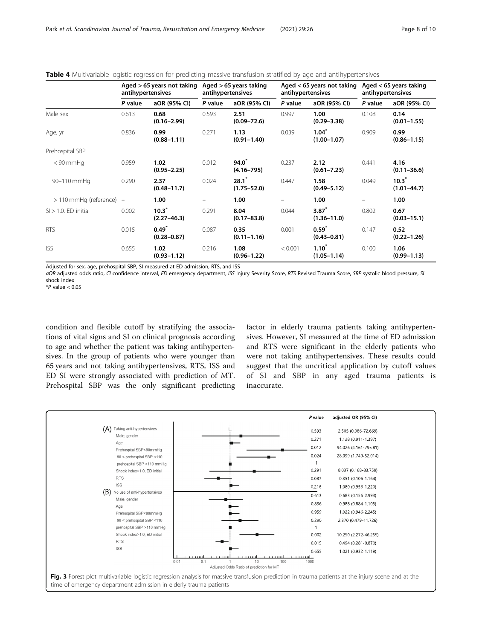|                              | Aged $>65$ years not taking<br>antihypertensives |                             | Aged $>65$ years taking<br>antihypertensives |                             | Aged $<$ 65 years not taking<br>antihypertensives |                               | Aged $<$ 65 years taking<br>antihypertensives |                             |
|------------------------------|--------------------------------------------------|-----------------------------|----------------------------------------------|-----------------------------|---------------------------------------------------|-------------------------------|-----------------------------------------------|-----------------------------|
|                              | P value                                          | aOR (95% CI)                | P value                                      | aOR (95% CI)                | P value                                           | aOR (95% CI)                  | P value                                       | aOR (95% CI)                |
| Male sex                     | 0.613                                            | 0.68<br>$(0.16 - 2.99)$     | 0.593                                        | 2.51<br>$(0.09 - 72.6)$     | 0.997                                             | 1.00<br>$(0.29 - 3.38)$       | 0.108                                         | 0.14<br>$(0.01 - 1.55)$     |
| Age, yr                      | 0.836                                            | 0.99<br>$(0.88 - 1.11)$     | 0.271                                        | 1.13<br>$(0.91 - 1.40)$     | 0.039                                             | $1.04^*$<br>$(1.00 - 1.07)$   | 0.909                                         | 0.99<br>$(0.86 - 1.15)$     |
| Prehospital SBP              |                                                  |                             |                                              |                             |                                                   |                               |                                               |                             |
| $<$ 90 mmHq                  | 0.959                                            | 1.02<br>$(0.95 - 2.25)$     | 0.012                                        | $94.0^*$<br>$(4.16 - 795)$  | 0.237                                             | 2.12<br>$(0.61 - 7.23)$       | 0.441                                         | 4.16<br>$(0.11 - 36.6)$     |
| 90-110 mmHq                  | 0.290                                            | 2.37<br>$(0.48 - 11.7)$     | 0.024                                        | $28.1^*$<br>$(1.75 - 52.0)$ | 0.447                                             | 1.58<br>$(0.49 - 5.12)$       | 0.049                                         | $10.3^*$<br>$(1.01 - 44.7)$ |
| $>$ 110 mmHg (reference) $-$ |                                                  | 1.00                        | -                                            | 1.00                        |                                                   | 1.00                          |                                               | 1.00                        |
| $SI > 1.0$ . ED initial      | 0.002                                            | $10.3^*$<br>$(2.27 - 46.3)$ | 0.291                                        | 8.04<br>$(0.17 - 83.8)$     | 0.044                                             | 3.87<br>$(1.36 - 11.0)$       | 0.802                                         | 0.67<br>$(0.03 - 15.1)$     |
| <b>RTS</b>                   | 0.015                                            | $0.49*$<br>$(0.28 - 0.87)$  | 0.087                                        | 0.35<br>$(0.11 - 1.16)$     | 0.001                                             | $0.59^{*}$<br>$(0.43 - 0.81)$ | 0.147                                         | 0.52<br>$(0.22 - 1.26)$     |
| <b>ISS</b>                   | 0.655                                            | 1.02<br>$(0.93 - 1.12)$     | 0.216                                        | 1.08<br>$(0.96 - 1.22)$     | < 0.001                                           | $1.10^*$<br>$(1.05 - 1.14)$   | 0.100                                         | 1.06<br>$(0.99 - 1.13)$     |

### <span id="page-7-0"></span>Table 4 Multivariable logistic regression for predicting massive transfusion stratified by age and antihypertensives

Adjusted for sex, age, prehospital SBP, SI measured at ED admission, RTS, and ISS

aOR adjusted odds ratio, CI confidence interval, ED emergency department, ISS Injury Severity Score, RTS Revised Trauma Score, SBP systolic blood pressure, SI shock index

 $*P$  value  $< 0.05$ 

condition and flexible cutoff by stratifying the associations of vital signs and SI on clinical prognosis according to age and whether the patient was taking antihypertensives. In the group of patients who were younger than 65 years and not taking antihypertensives, RTS, ISS and ED SI were strongly associated with prediction of MT. Prehospital SBP was the only significant predicting factor in elderly trauma patients taking antihypertensives. However, SI measured at the time of ED admission and RTS were significant in the elderly patients who were not taking antihypertensives. These results could suggest that the uncritical application by cutoff values of SI and SBP in any aged trauma patients is inaccurate.

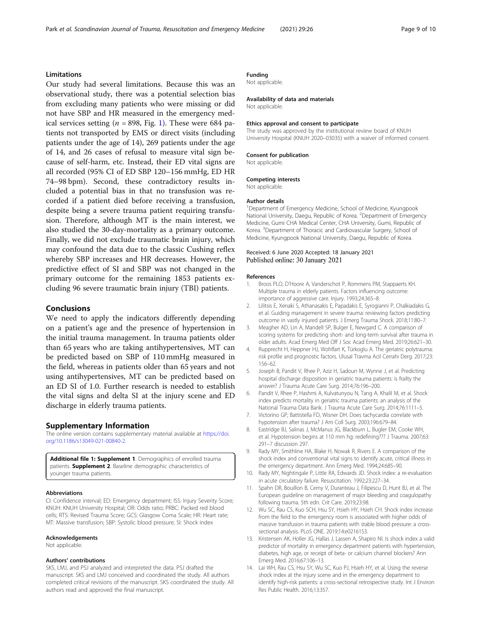### <span id="page-8-0"></span>Limitations

Our study had several limitations. Because this was an observational study, there was a potential selection bias from excluding many patients who were missing or did not have SBP and HR measured in the emergency medical services setting ( $n = 898$ , Fig. [1\)](#page-2-0). These were 684 patients not transported by EMS or direct visits (including patients under the age of 14), 269 patients under the age of 14, and 26 cases of refusal to measure vital sign because of self-harm, etc. Instead, their ED vital signs are all recorded (95% CI of ED SBP 120–156 mmHg, ED HR 74–98 bpm). Second, these contradictory results included a potential bias in that no transfusion was recorded if a patient died before receiving a transfusion, despite being a severe trauma patient requiring transfusion. Therefore, although MT is the main interest, we also studied the 30-day-mortality as a primary outcome. Finally, we did not exclude traumatic brain injury, which may confound the data due to the classic Cushing reflex whereby SBP increases and HR decreases. However, the predictive effect of SI and SBP was not changed in the primary outcome for the remaining 1853 patients excluding 96 severe traumatic brain injury (TBI) patients.

### Conclusions

We need to apply the indicators differently depending on a patient's age and the presence of hypertension in the initial trauma management. In trauma patients older than 65 years who are taking antihypertensives, MT can be predicted based on SBP of 110 mmHg measured in the field, whereas in patients older than 65 years and not using antihypertensives, MT can be predicted based on an ED SI of 1.0. Further research is needed to establish the vital signs and delta SI at the injury scene and ED discharge in elderly trauma patients.

#### Supplementary Information

The online version contains supplementary material available at [https://doi.](https://doi.org/10.1186/s13049-021-00840-2) [org/10.1186/s13049-021-00840-2.](https://doi.org/10.1186/s13049-021-00840-2)

Additional file 1: Supplement 1. Demographics of enrolled trauma patients. **Supplement 2**. Baseline demographic characteristics of younger trauma patients.

#### Abbreviations

CI: Confidence interval; ED: Emergency department; ISS: Injury Severity Score; KNUH: KNUH University Hospital; OR: Odds ratio; PRBC: Packed red blood cells; RTS: Revised Trauma Score; GCS: Glasgow Coma Scale; HR: Heart rate; MT: Massive transfusion; SBP: Systolic blood pressure; SI: Shock index

#### Acknowledgements

Not applicable.

#### Authors' contributions

SKS, LMJ, and PSJ analyzed and interpreted the data. PSJ drafted the manuscript. SKS and LMJ conceived and coordinated the study. All authors completed critical revisions of the manuscript. SKS coordinated the study. All authors read and approved the final manuscript.

### Funding

Not applicable.

#### Availability of data and materials

Not applicable.

#### Ethics approval and consent to participate

The study was approved by the institutional review board of KNUH University Hospital (KNUH 2020–03035) with a waiver of informed consent.

#### Consent for publication

Not applicable.

#### Competing interests

Not applicable.

#### Author details

<sup>1</sup>Department of Emergency Medicine, School of Medicine, Kyungpook National University, Daegu, Republic of Korea. <sup>2</sup>Department of Emergency Medicine, Gumi CHA Medical Center, CHA University, Gumi, Republic of Korea. <sup>3</sup> Department of Thoracic and Cardiovascular Surgery, School of Medicine, Kyungpook National University, Daegu, Republic of Korea.

### Received: 6 June 2020 Accepted: 18 January 2021 Published online: 30 January 2021

#### References

- 1. Broos PLO, D'Hoore A, Vanderschot P, Rommens PM, Stappaerts KH. Multiple trauma in elderly patients. Factors influencing outcome: importance of aggressive care. Injury. 1993;24:365–8.
- 2. Lilitsis E, Xenaki S, Athanasakis E, Papadakis E, Syrogianni P, Chalkiadakis G, et al. Guiding management in severe trauma: reviewing factors predicting outcome in vastly injured patients. J Emerg Trauma Shock. 2018;11:80–7.
- 3. Meagher AD, Lin A, Mandell SP, Bulger E, Newgard C. A comparison of scoring systems for predicting short- and long-term survival after trauma in older adults. Acad Emerg Med Off J Soc Acad Emerg Med. 2019;26:621–30.
- 4. Rupprecht H, Heppner HJ, Wohlfart K, Türkoglu A. The geriatric polytrauma: risk profile and prognostic factors. Ulusal Travma Acil Cerrahi Derg. 2017;23: 156–62.
- Joseph B, Pandit V, Rhee P, Aziz H, Sadoun M, Wynne J, et al. Predicting hospital discharge disposition in geriatric trauma patients: is frailty the answer? J Trauma Acute Care Surg. 2014;76:196–200.
- 6. Pandit V, Rhee P, Hashmi A, Kulvatunyou N, Tang A, Khalil M, et al. Shock index predicts mortality in geriatric trauma patients: an analysis of the National Trauma Data Bank. J Trauma Acute Care Surg. 2014;76:1111–5.
- 7. Victorino GP, Battistella FD, Wisner DH. Does tachycardia correlate with hypotension after trauma? J Am Coll Surg. 2003;196:679–84.
- 8. Eastridge BJ, Salinas J, McManus JG, Blackburn L, Bugler EM, Cooke WH, et al. Hypotension begins at 110 mm hg: redefining??? J Trauma. 2007;63: 291–7 discussion 297.
- 9. Rady MY, Smithline HA, Blake H, Nowak R, Rivers E. A comparison of the shock index and conventional vital signs to identify acute, critical illness in the emergency department. Ann Emerg Med. 1994;24:685–90.
- 10. Rady MY, Nightingale P, Little RA, Edwards JD. Shock index: a re-evaluation in acute circulatory failure. Resuscitation. 1992;23:227–34.
- 11. Spahn DR, Bouillon B, Cerny V, Duranteau J, Filipescu D, Hunt BJ, et al. The European guideline on management of major bleeding and coagulopathy following trauma. 5th edn. Crit Care. 2019;23:98.
- 12. Wu SC, Rau CS, Kuo SCH, Hsu SY, Hsieh HY, Hsieh CH. Shock index increase from the field to the emergency room is associated with higher odds of massive transfusion in trauma patients with stable blood pressure: a crosssectional analysis. PLoS ONE. 2019;14:e0216153.
- 13. Kristensen AK, Holler JG, Hallas J, Lassen A, Shapiro NI. Is shock index a valid predictor of mortality in emergency department patients with hypertension, diabetes, high age, or receipt of beta- or calcium channel blockers? Ann Emerg Med. 2016;67:106–13.
- 14. Lai WH, Rau CS, Hsu SY, Wu SC, Kuo PJ, Hsieh HY, et al. Using the reverse shock index at the injury scene and in the emergency department to identify high-risk patients: a cross-sectional retrospective study. Int J Environ Res Public Health. 2016;13:357.